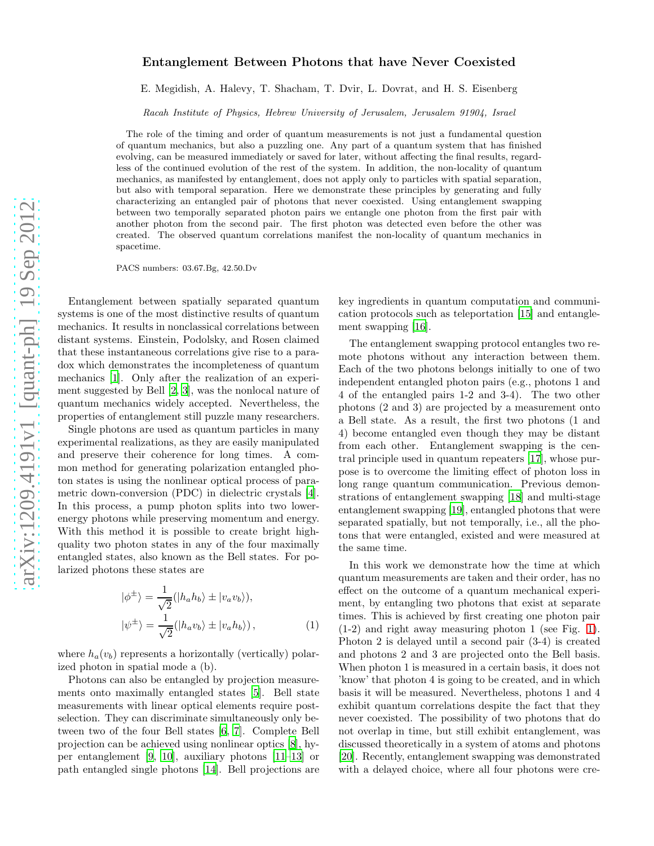## arXiv:1209.4191v1 [quant-ph] 19 Sep 2012 [arXiv:1209.4191v1 \[quant-ph\] 19 Sep 2012](http://arxiv.org/abs/1209.4191v1)

## Entanglement Between Photons that have Never Coexisted

E. Megidish, A. Halevy, T. Shacham, T. Dvir, L. Dovrat, and H. S. Eisenberg

Racah Institute of Physics, Hebrew University of Jerusalem, Jerusalem 91904, Israel

The role of the timing and order of quantum measurements is not just a fundamental question of quantum mechanics, but also a puzzling one. Any part of a quantum system that has finished evolving, can be measured immediately or saved for later, without affecting the final results, regardless of the continued evolution of the rest of the system. In addition, the non-locality of quantum mechanics, as manifested by entanglement, does not apply only to particles with spatial separation, but also with temporal separation. Here we demonstrate these principles by generating and fully characterizing an entangled pair of photons that never coexisted. Using entanglement swapping between two temporally separated photon pairs we entangle one photon from the first pair with another photon from the second pair. The first photon was detected even before the other was created. The observed quantum correlations manifest the non-locality of quantum mechanics in spacetime.

PACS numbers: 03.67.Bg, 42.50.Dv

Entanglement between spatially separated quantum systems is one of the most distinctive results of quantum mechanics. It results in nonclassical correlations between distant systems. Einstein, Podolsky, and Rosen claimed that these instantaneous correlations give rise to a paradox which demonstrates the incompleteness of quantum mechanics [\[1](#page-3-0)]. Only after the realization of an experiment suggested by Bell [\[2](#page-3-1), [3\]](#page-3-2), was the nonlocal nature of quantum mechanics widely accepted. Nevertheless, the properties of entanglement still puzzle many researchers.

Single photons are used as quantum particles in many experimental realizations, as they are easily manipulated and preserve their coherence for long times. A common method for generating polarization entangled photon states is using the nonlinear optical process of parametric down-conversion (PDC) in dielectric crystals [\[4\]](#page-3-3). In this process, a pump photon splits into two lowerenergy photons while preserving momentum and energy. With this method it is possible to create bright highquality two photon states in any of the four maximally entangled states, also known as the Bell states. For polarized photons these states are

$$
|\phi^{\pm}\rangle = \frac{1}{\sqrt{2}}(|h_a h_b\rangle \pm |v_a v_b\rangle),
$$
  

$$
|\psi^{\pm}\rangle = \frac{1}{\sqrt{2}}(|h_a v_b\rangle \pm |v_a h_b\rangle),
$$
 (1)

where  $h_a(v_b)$  represents a horizontally (vertically) polarized photon in spatial mode a (b).

Photons can also be entangled by projection measurements onto maximally entangled states [\[5](#page-3-4)]. Bell state measurements with linear optical elements require postselection. They can discriminate simultaneously only between two of the four Bell states [\[6](#page-3-5), [7](#page-3-6)]. Complete Bell projection can be achieved using nonlinear optics [\[8\]](#page-3-7), hyper entanglement [\[9,](#page-3-8) [10\]](#page-3-9), auxiliary photons [\[11](#page-3-10)[–13\]](#page-3-11) or path entangled single photons [\[14](#page-3-12)]. Bell projections are

key ingredients in quantum computation and communication protocols such as teleportation [\[15](#page-3-13)] and entanglement swapping [\[16\]](#page-3-14).

The entanglement swapping protocol entangles two remote photons without any interaction between them. Each of the two photons belongs initially to one of two independent entangled photon pairs (e.g., photons 1 and 4 of the entangled pairs 1-2 and 3-4). The two other photons (2 and 3) are projected by a measurement onto a Bell state. As a result, the first two photons (1 and 4) become entangled even though they may be distant from each other. Entanglement swapping is the central principle used in quantum repeaters [\[17\]](#page-3-15), whose purpose is to overcome the limiting effect of photon loss in long range quantum communication. Previous demonstrations of entanglement swapping [\[18\]](#page-3-16) and multi-stage entanglement swapping [\[19\]](#page-3-17), entangled photons that were separated spatially, but not temporally, i.e., all the photons that were entangled, existed and were measured at the same time.

In this work we demonstrate how the time at which quantum measurements are taken and their order, has no effect on the outcome of a quantum mechanical experiment, by entangling two photons that exist at separate times. This is achieved by first creating one photon pair (1-2) and right away measuring photon 1 (see Fig. [1\)](#page-1-0). Photon 2 is delayed until a second pair (3-4) is created and photons 2 and 3 are projected onto the Bell basis. When photon 1 is measured in a certain basis, it does not 'know' that photon 4 is going to be created, and in which basis it will be measured. Nevertheless, photons 1 and 4 exhibit quantum correlations despite the fact that they never coexisted. The possibility of two photons that do not overlap in time, but still exhibit entanglement, was discussed theoretically in a system of atoms and photons [\[20\]](#page-3-18). Recently, entanglement swapping was demonstrated with a delayed choice, where all four photons were cre-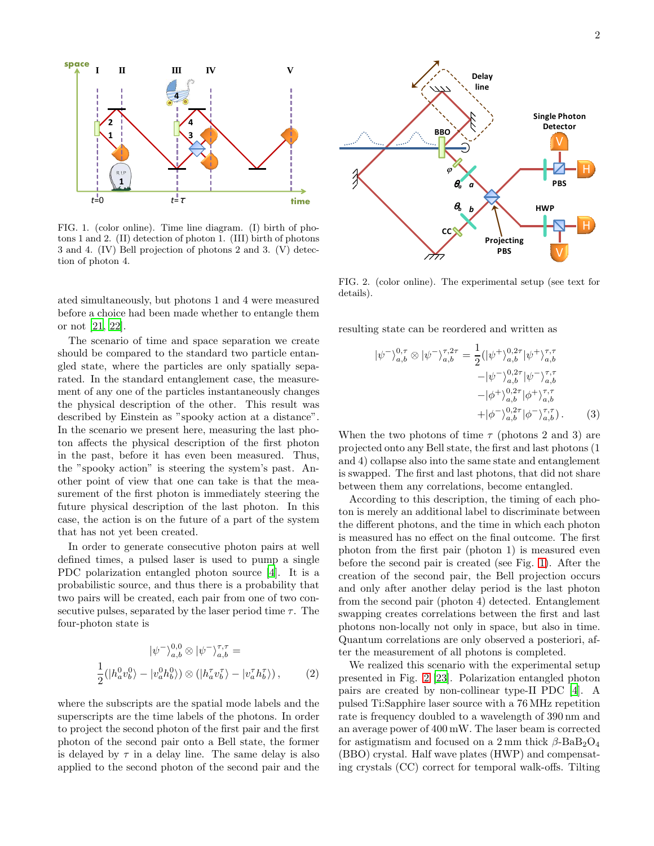

<span id="page-1-0"></span>FIG. 1. (color online). Time line diagram. (I) birth of photons 1 and 2. (II) detection of photon 1. (III) birth of photons 3 and 4. (IV) Bell projection of photons 2 and 3. (V) detection of photon 4.

ated simultaneously, but photons 1 and 4 were measured before a choice had been made whether to entangle them or not [\[21,](#page-3-19) [22\]](#page-3-20).

The scenario of time and space separation we create should be compared to the standard two particle entangled state, where the particles are only spatially separated. In the standard entanglement case, the measurement of any one of the particles instantaneously changes the physical description of the other. This result was described by Einstein as "spooky action at a distance". In the scenario we present here, measuring the last photon affects the physical description of the first photon in the past, before it has even been measured. Thus, the "spooky action" is steering the system's past. Another point of view that one can take is that the measurement of the first photon is immediately steering the future physical description of the last photon. In this case, the action is on the future of a part of the system that has not yet been created.

In order to generate consecutive photon pairs at well defined times, a pulsed laser is used to pump a single PDC polarization entangled photon source [\[4](#page-3-3)]. It is a probabilistic source, and thus there is a probability that two pairs will be created, each pair from one of two consecutive pulses, separated by the laser period time  $\tau$ . The four-photon state is

$$
|\psi^{-}\rangle_{a,b}^{0,0} \otimes |\psi^{-}\rangle_{a,b}^{\tau,\tau} =
$$
  

$$
\frac{1}{2}(|h_{a}^{0}v_{b}^{0}\rangle - |v_{a}^{0}h_{b}^{0}\rangle) \otimes (|h_{a}^{\tau}v_{b}^{\tau}\rangle - |v_{a}^{\tau}h_{b}^{\tau}\rangle), \qquad (2)
$$

where the subscripts are the spatial mode labels and the superscripts are the time labels of the photons. In order to project the second photon of the first pair and the first photon of the second pair onto a Bell state, the former is delayed by  $\tau$  in a delay line. The same delay is also applied to the second photon of the second pair and the



<span id="page-1-1"></span>FIG. 2. (color online). The experimental setup (see text for details).

resulting state can be reordered and written as

$$
|\psi^{-}\rangle_{a,b}^{0,\tau} \otimes |\psi^{-}\rangle_{a,b}^{\tau,2\tau} = \frac{1}{2} (|\psi^{+}\rangle_{a,b}^{0,2\tau} |\psi^{+}\rangle_{a,b}^{\tau,\tau} - |\psi^{-}\rangle_{a,b}^{0,2\tau} |\psi^{-}\rangle_{a,b}^{\tau,\tau} - |\phi^{+}\rangle_{a,b}^{0,2\tau} |\phi^{+}\rangle_{a,b}^{\tau,\tau} + |\phi^{-}\rangle_{a,b}^{0,2\tau} |\phi^{-}\rangle_{a,b}^{\tau,\tau}).
$$
 (3)

When the two photons of time  $\tau$  (photons 2 and 3) are projected onto any Bell state, the first and last photons (1 and 4) collapse also into the same state and entanglement is swapped. The first and last photons, that did not share between them any correlations, become entangled.

According to this description, the timing of each photon is merely an additional label to discriminate between the different photons, and the time in which each photon is measured has no effect on the final outcome. The first photon from the first pair (photon 1) is measured even before the second pair is created (see Fig. [1\)](#page-1-0). After the creation of the second pair, the Bell projection occurs and only after another delay period is the last photon from the second pair (photon 4) detected. Entanglement swapping creates correlations between the first and last photons non-locally not only in space, but also in time. Quantum correlations are only observed a posteriori, after the measurement of all photons is completed.

We realized this scenario with the experimental setup presented in Fig. [2](#page-1-1) [\[23\]](#page-3-21). Polarization entangled photon pairs are created by non-collinear type-II PDC [\[4\]](#page-3-3). A pulsed Ti:Sapphire laser source with a 76 MHz repetition rate is frequency doubled to a wavelength of 390 nm and an average power of 400 mW. The laser beam is corrected for astigmatism and focused on a 2 mm thick  $\beta$ -BaB<sub>2</sub>O<sub>4</sub> (BBO) crystal. Half wave plates (HWP) and compensating crystals (CC) correct for temporal walk-offs. Tilting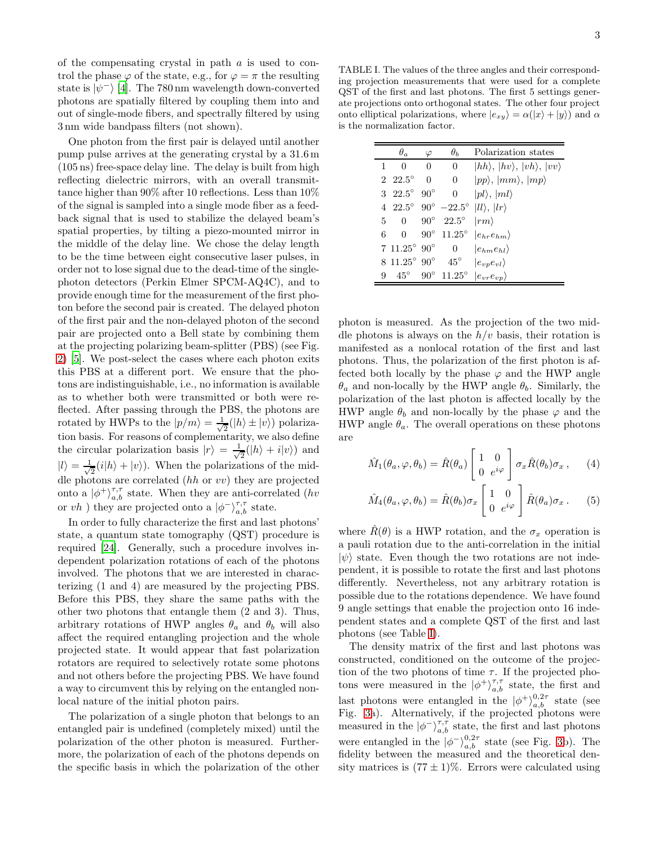of the compensating crystal in path  $a$  is used to control the phase  $\varphi$  of the state, e.g., for  $\varphi = \pi$  the resulting state is  $|\psi^-\rangle$  [\[4\]](#page-3-3). The 780 nm wavelength down-converted photons are spatially filtered by coupling them into and out of single-mode fibers, and spectrally filtered by using 3 nm wide bandpass filters (not shown).

One photon from the first pair is delayed until another pump pulse arrives at the generating crystal by a 31.6 m (105 ns) free-space delay line. The delay is built from high reflecting dielectric mirrors, with an overall transmittance higher than 90% after 10 reflections. Less than 10% of the signal is sampled into a single mode fiber as a feedback signal that is used to stabilize the delayed beam's spatial properties, by tilting a piezo-mounted mirror in the middle of the delay line. We chose the delay length to be the time between eight consecutive laser pulses, in order not to lose signal due to the dead-time of the singlephoton detectors (Perkin Elmer SPCM-AQ4C), and to provide enough time for the measurement of the first photon before the second pair is created. The delayed photon of the first pair and the non-delayed photon of the second pair are projected onto a Bell state by combining them at the projecting polarizing beam-splitter (PBS) (see Fig. [2\)](#page-1-1) [\[5](#page-3-4)]. We post-select the cases where each photon exits this PBS at a different port. We ensure that the photons are indistinguishable, i.e., no information is available as to whether both were transmitted or both were reflected. After passing through the PBS, the photons are rotated by HWPs to the  $|p/m\rangle = \frac{1}{\sqrt{2}}$  $\frac{1}{2}(|h\rangle \pm |v\rangle)$  polarization basis. For reasons of complementarity, we also define the circular polarization basis  $|r\rangle = \frac{1}{\sqrt{n}}$  $\frac{1}{2}(|h\rangle + i|v\rangle)$  and  $|l\rangle = \frac{1}{\sqrt{2}}$  $\frac{1}{2}(i|h\rangle + |v\rangle)$ . When the polarizations of the middle photons are correlated (hh or vv) they are projected onto a  $|\phi^{+}\rangle^{\tau,\tau}_{a,b}$  state. When they are anti-correlated (*hv* or  $vh$  ) they are projected onto a  $|\phi^{-}\rangle^{\tau,\tau}_{a,b}$  state.

In order to fully characterize the first and last photons' state, a quantum state tomography (QST) procedure is required [\[24\]](#page-3-22). Generally, such a procedure involves independent polarization rotations of each of the photons involved. The photons that we are interested in characterizing (1 and 4) are measured by the projecting PBS. Before this PBS, they share the same paths with the other two photons that entangle them (2 and 3). Thus, arbitrary rotations of HWP angles  $\theta_a$  and  $\theta_b$  will also affect the required entangling projection and the whole projected state. It would appear that fast polarization rotators are required to selectively rotate some photons and not others before the projecting PBS. We have found a way to circumvent this by relying on the entangled nonlocal nature of the initial photon pairs.

The polarization of a single photon that belongs to an entangled pair is undefined (completely mixed) until the polarization of the other photon is measured. Furthermore, the polarization of each of the photons depends on the specific basis in which the polarization of the other

<span id="page-2-0"></span>TABLE I. The values of the three angles and their corresponding projection measurements that were used for a complete QST of the first and last photons. The first 5 settings generate projections onto orthogonal states. The other four project onto elliptical polarizations, where  $|e_{xy}\rangle = \alpha(|x\rangle + |y\rangle)$  and  $\alpha$ is the normalization factor.

|    | $\theta_a$                        | $\varphi$    | $\theta_b$                                   | Polarization states                              |
|----|-----------------------------------|--------------|----------------------------------------------|--------------------------------------------------|
| 1. | 0                                 | 0            | 0                                            | $ hh\rangle,  hv\rangle,  vh\rangle,  vv\rangle$ |
|    | $2\;\;22.5^{\circ}$               | $\theta$     | $\Omega$                                     | $ pp\rangle,  mm\rangle,  mp\rangle$             |
|    | 3 $22.5^{\circ}$                  | $90^{\circ}$ | $\Omega$                                     | $ pl\rangle,  ml\rangle$                         |
|    |                                   |              | $4\ 22.5^{\circ}\ 90^{\circ}\ -22.5^{\circ}$ | $ ll\rangle,  lr\rangle$                         |
|    | $\overline{0}$<br>5               |              | $90^{\circ}$ $22.5^{\circ}$                  | $\ket{rm}$                                       |
| 6. | $\Omega$                          |              | $90^{\circ}$ 11.25°                          | $ e_{hr}e_{hm}\rangle$                           |
|    | $7.11.25^{\circ}$ 90 <sup>°</sup> |              | 0                                            | $ e_{hm}e_{hl}\rangle$                           |
|    | $8\;11.25^{\circ}\;90^{\circ}$    |              | $45^{\circ}$                                 | $ e_{vv}e_{vl}\rangle$                           |
| 9  | $45^{\circ}$                      |              | $90^{\circ}$ 11.25°                          | $ e_{vr}e_{vp}\rangle$                           |

photon is measured. As the projection of the two middle photons is always on the  $h/v$  basis, their rotation is manifested as a nonlocal rotation of the first and last photons. Thus, the polarization of the first photon is affected both locally by the phase  $\varphi$  and the HWP angle  $\theta_a$  and non-locally by the HWP angle  $\theta_b$ . Similarly, the polarization of the last photon is affected locally by the HWP angle  $\theta_b$  and non-locally by the phase  $\varphi$  and the HWP angle  $\theta_a$ . The overall operations on these photons are

$$
\hat{M}_1(\theta_a, \varphi, \theta_b) = \hat{R}(\theta_a) \begin{bmatrix} 1 & 0 \\ 0 & e^{i\varphi} \end{bmatrix} \sigma_x \hat{R}(\theta_b) \sigma_x , \qquad (4)
$$

$$
\hat{M}_4(\theta_a, \varphi, \theta_b) = \hat{R}(\theta_b) \sigma_x \begin{bmatrix} 1 & 0 \\ 0 & e^{i\varphi} \end{bmatrix} \hat{R}(\theta_a) \sigma_x . \tag{5}
$$

where  $\hat{R}(\theta)$  is a HWP rotation, and the  $\sigma_x$  operation is a pauli rotation due to the anti-correlation in the initial  $|\psi\rangle$  state. Even though the two rotations are not independent, it is possible to rotate the first and last photons differently. Nevertheless, not any arbitrary rotation is possible due to the rotations dependence. We have found 9 angle settings that enable the projection onto 16 independent states and a complete QST of the first and last photons (see Table [I\)](#page-2-0).

The density matrix of the first and last photons was constructed, conditioned on the outcome of the projection of the two photons of time  $\tau$ . If the projected photons were measured in the  $|\phi^{+}\rangle^{\tau,\tau}_{a,b}$  state, the first and last photons were entangled in the  $|\phi^+\rangle^{0,2\tau}_{a,b}$  state (see Fig. [3a](#page-3-23)). Alternatively, if the projected photons were measured in the  $|\phi^{-}\rangle^{\tau,\tau}_{a,b}$  state, the first and last photons were entangled in the  $|\phi^{-}\rangle_{a,b}^{0,2\tau}$  state (see Fig. [3b](#page-3-23)). The fidelity between the measured and the theoretical density matrices is  $(77 \pm 1)\%$ . Errors were calculated using